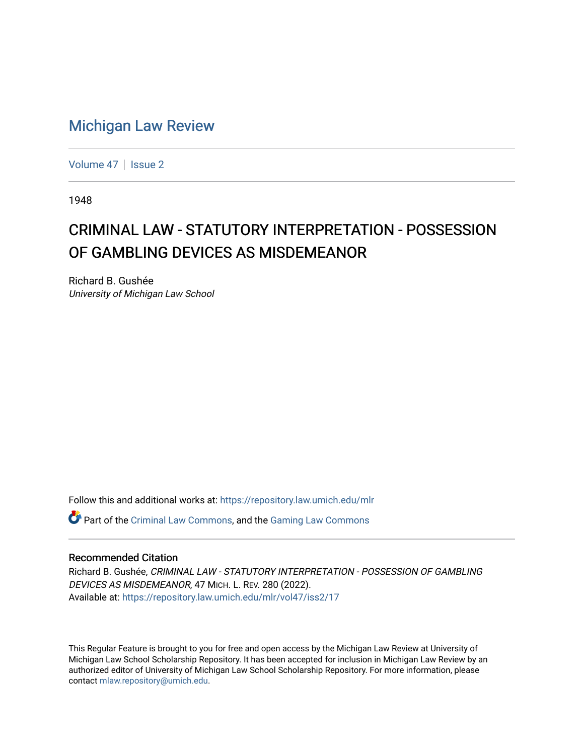## [Michigan Law Review](https://repository.law.umich.edu/mlr)

[Volume 47](https://repository.law.umich.edu/mlr/vol47) | [Issue 2](https://repository.law.umich.edu/mlr/vol47/iss2)

1948

## CRIMINAL LAW - STATUTORY INTERPRETATION - POSSESSION OF GAMBLING DEVICES AS MISDEMEANOR

Richard B. Gushée University of Michigan Law School

Follow this and additional works at: [https://repository.law.umich.edu/mlr](https://repository.law.umich.edu/mlr?utm_source=repository.law.umich.edu%2Fmlr%2Fvol47%2Fiss2%2F17&utm_medium=PDF&utm_campaign=PDFCoverPages) 

 $\bullet$  Part of the [Criminal Law Commons,](http://network.bepress.com/hgg/discipline/912?utm_source=repository.law.umich.edu%2Fmlr%2Fvol47%2Fiss2%2F17&utm_medium=PDF&utm_campaign=PDFCoverPages) and the Gaming Law Commons

## Recommended Citation

Richard B. Gushée, CRIMINAL LAW - STATUTORY INTERPRETATION - POSSESSION OF GAMBLING DEVICES AS MISDEMEANOR, 47 MICH. L. REV. 280 (2022). Available at: [https://repository.law.umich.edu/mlr/vol47/iss2/17](https://repository.law.umich.edu/mlr/vol47/iss2/17?utm_source=repository.law.umich.edu%2Fmlr%2Fvol47%2Fiss2%2F17&utm_medium=PDF&utm_campaign=PDFCoverPages) 

This Regular Feature is brought to you for free and open access by the Michigan Law Review at University of Michigan Law School Scholarship Repository. It has been accepted for inclusion in Michigan Law Review by an authorized editor of University of Michigan Law School Scholarship Repository. For more information, please contact [mlaw.repository@umich.edu](mailto:mlaw.repository@umich.edu).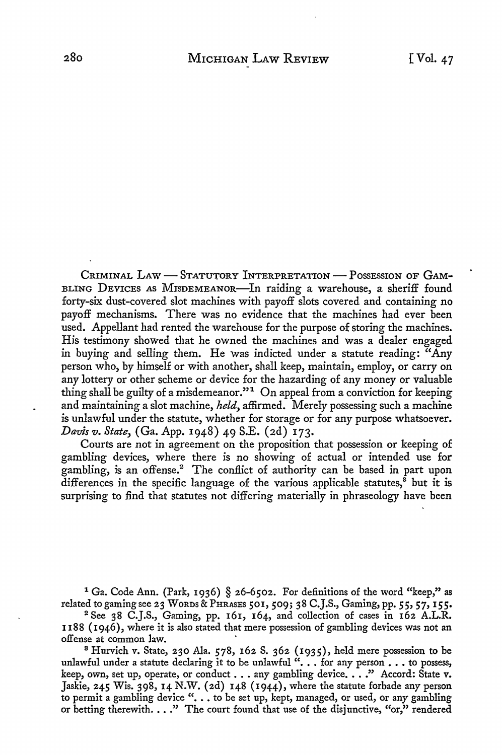CRIMINAL LAW - STATUTORY INTERPRETATION - POSSESSION OF GAM-BLING DEVICES AS MISDEMEANOR-In raiding a warehouse, a sheriff found forty-six dust-covered slot machines with payoff slots covered and containing no payoff mechanisms. There was no evidence that the machines had ever been used. Appellant had rented the warehouse for the purpose of storing the machines. His testimony showed that he owned the machines and was a dealer engaged in buying and selling them. He was indicted under a statute reading: "Any person who, by himself or with another, shall keep, maintain, employ, or carry on any lottery or other scheme or device for the hazarding of any money or valuable thing shall be guilty of a misdemeanor."<sup>1</sup> On appeal from a conviction for keeping and maintaining a slot machine, *held,* affirmed. Merely possessing such a machine is unlawful under the statute, whether for storage or for any purpose whatsoever. *Davis v. State,* (Ga. App. 1948) 49 S.E. (2d) 173.

Courts are not in agreement on the proposition that possession or keeping of gambling devices, where there is no showing of actual or intended use for gambling, is an offense.<sup>2</sup> The conflict of authority can be based in part upon differences in the specific language of the various applicable statutes, $^{\tilde{8}}$  but it is surprising to find that statutes not differing materially in phraseology have been

<sup>1</sup> Ga. Code Ann. (Park, 1936) § 26-6502. For definitions of the word "keep," as related to gaming see 23 WORDS & PHRASES 501,509; 38 C.J.S., Gaming, pp. **55, 57, 155.** 

<sup>2</sup>See 38 C.J.S., Gaming, pp. 161, 164, and collection of cases in 162 A.L.R. 1188 (1946), where it is also stated that mere possession of gambling devices was not an offense at common law. ·

<sup>8</sup>Hurvich v. State, 230 Ala. 578, 162 S. 362 (1935), held mere possession to be unlawful under a statute declaring it to be unlawful  $\cdots$  for any person... to possess, keep, own, set up, operate, or conduct . . . any gambling device. . . ." Accord: State v. Jaskie, 245 Wis. 398, 14 N.W. (2d) 148 (1944), where the statute forbade any person to permit a gambling device" •.• to be set up, kept, managed, or used, or any gambling or betting therewith...." The court found that use of the disjunctive, "or," rendered